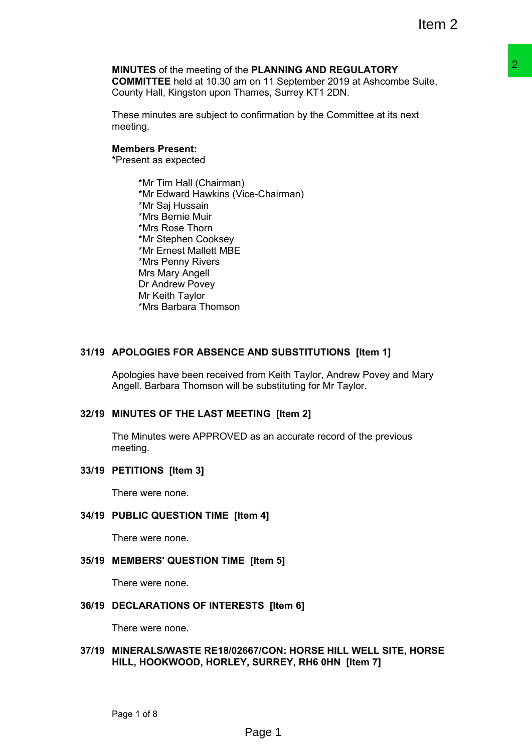#### **MINUTES** of the meeting of the **PLANNING AND REGULATORY**

**COMMITTEE** held at 10.30 am on 11 September 2019 at Ashcombe Suite, County Hall, Kingston upon Thames, Surrey KT1 2DN.

These minutes are subject to confirmation by the Committee at its next meeting.

#### **Members Present:**

\*Present as expected

\*Mr Tim Hall (Chairman) \*Mr Edward Hawkins (Vice-Chairman) \*Mr Saj Hussain \*Mrs Bernie Muir \*Mrs Rose Thorn \*Mr Stephen Cooksey \*Mr Ernest Mallett MBE \*Mrs Penny Rivers Mrs Mary Angell Dr Andrew Povey Mr Keith Taylor \*Mrs Barbara Thomson PLANNING AID REGULATORY<br>
on the September 2019 at Ashcombe Suite,<br>
ames, Surrey KT1 2DN.<br>
ames, Surrey KT1 2DN.<br>
confirmation by the Committee at its next<br>
ce-Chairman)<br>
AND SUBSTITUTIONS [Item 1]<br>
from Keith Taylor, Andre

### **31/19 APOLOGIES FOR ABSENCE AND SUBSTITUTIONS [Item 1]**

Apologies have been received from Keith Taylor, Andrew Povey and Mary Angell. Barbara Thomson will be substituting for Mr Taylor.

### **32/19 MINUTES OF THE LAST MEETING [Item 2]**

The Minutes were APPROVED as an accurate record of the previous meeting.

#### **33/19 PETITIONS [Item 3]**

There were none.

#### **34/19 PUBLIC QUESTION TIME [Item 4]**

There were none.

#### **35/19 MEMBERS' QUESTION TIME [Item 5]**

There were none.

#### **36/19 DECLARATIONS OF INTERESTS [Item 6]**

There were none.

#### **37/19 MINERALS/WASTE RE18/02667/CON: HORSE HILL WELL SITE, HORSE HILL, HOOKWOOD, HORLEY, SURREY, RH6 0HN [Item 7]**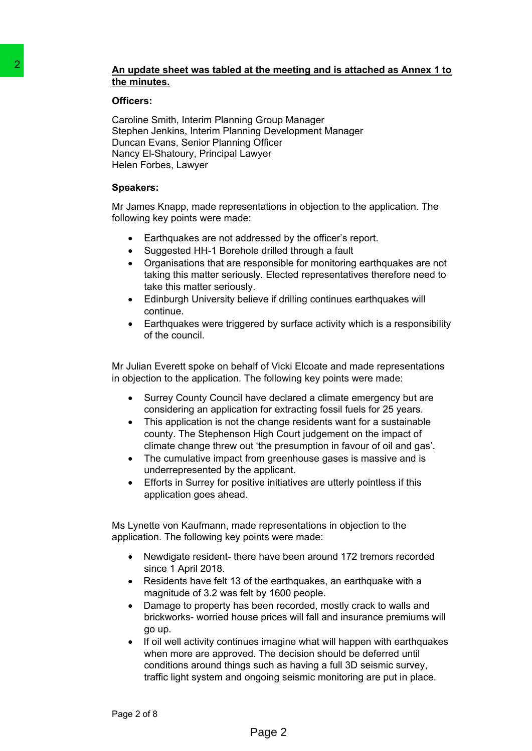## **An update sheet was tabled at the meeting and is attached as Annex 1 to the minutes.**

### **Officers:**

Caroline Smith, Interim Planning Group Manager Stephen Jenkins, Interim Planning Development Manager Duncan Evans, Senior Planning Officer Nancy El-Shatoury, Principal Lawyer Helen Forbes, Lawyer 2<br> **An undate sheet was tabled at the measurements.**<br> **Caroline Smith, Interim Planning Group**<br> **Caroline Smith, Interim Planning Development Jensines interim Planning Development Jensines, heliem Forbes, Samply, Plimchap** 

### **Speakers:**

Mr James Knapp, made representations in objection to the application. The following key points were made:

- Earthquakes are not addressed by the officer's report.
- Suggested HH-1 Borehole drilled through a fault
- Organisations that are responsible for monitoring earthquakes are not taking this matter seriously. Elected representatives therefore need to take this matter seriously.
- Edinburgh University believe if drilling continues earthquakes will continue.
- Earthquakes were triggered by surface activity which is a responsibility of the council.

Mr Julian Everett spoke on behalf of Vicki Elcoate and made representations in objection to the application. The following key points were made:

- Surrey County Council have declared a climate emergency but are considering an application for extracting fossil fuels for 25 years.
- This application is not the change residents want for a sustainable county. The Stephenson High Court judgement on the impact of climate change threw out 'the presumption in favour of oil and gas'.
- The cumulative impact from greenhouse gases is massive and is underrepresented by the applicant.
- Efforts in Surrey for positive initiatives are utterly pointless if this application goes ahead.

Ms Lynette von Kaufmann, made representations in objection to the application. The following key points were made:

- Newdigate resident- there have been around 172 tremors recorded since 1 April 2018.
- Residents have felt 13 of the earthquakes, an earthquake with a magnitude of 3.2 was felt by 1600 people.
- Damage to property has been recorded, mostly crack to walls and brickworks- worried house prices will fall and insurance premiums will go up.
- If oil well activity continues imagine what will happen with earthquakes when more are approved. The decision should be deferred until conditions around things such as having a full 3D seismic survey, traffic light system and ongoing seismic monitoring are put in place.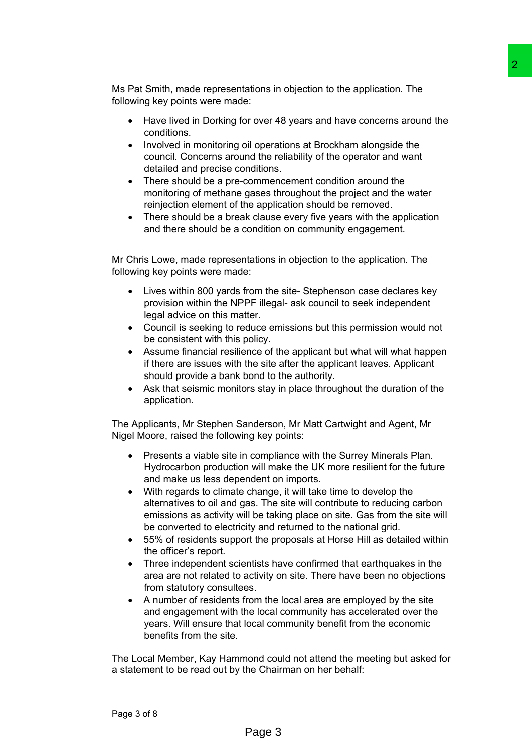Ms Pat Smith, made representations in objection to the application. The following key points were made:

- Have lived in Dorking for over 48 years and have concerns around the conditions.
- Involved in monitoring oil operations at Brockham alongside the council. Concerns around the reliability of the operator and want detailed and precise conditions.
- There should be a pre-commencement condition around the monitoring of methane gases throughout the project and the water reinjection element of the application should be removed.
- There should be a break clause every five years with the application and there should be a condition on community engagement.

Mr Chris Lowe, made representations in objection to the application. The following key points were made:

- Lives within 800 yards from the site- Stephenson case declares key provision within the NPPF illegal- ask council to seek independent legal advice on this matter.
- Council is seeking to reduce emissions but this permission would not be consistent with this policy.
- Assume financial resilience of the applicant but what will what happen if there are issues with the site after the applicant leaves. Applicant should provide a bank bond to the authority.
- Ask that seismic monitors stay in place throughout the duration of the application.

The Applicants, Mr Stephen Sanderson, Mr Matt Cartwight and Agent, Mr Nigel Moore, raised the following key points:

- Presents a viable site in compliance with the Surrey Minerals Plan. Hydrocarbon production will make the UK more resilient for the future and make us less dependent on imports.
- With regards to climate change, it will take time to develop the alternatives to oil and gas. The site will contribute to reducing carbon emissions as activity will be taking place on site. Gas from the site will be converted to electricity and returned to the national grid. 2<br>etions in objection to the application. The<br>etions in objection to the application. The<br>etions at Brockham alongside the<br>ind perations at Brockham alongside the<br>individual modition around the<br>etions at Brockham alongside
- 55% of residents support the proposals at Horse Hill as detailed within the officer's report.
- Three independent scientists have confirmed that earthquakes in the area are not related to activity on site. There have been no objections from statutory consultees.
- A number of residents from the local area are employed by the site and engagement with the local community has accelerated over the years. Will ensure that local community benefit from the economic benefits from the site.

The Local Member, Kay Hammond could not attend the meeting but asked for a statement to be read out by the Chairman on her behalf: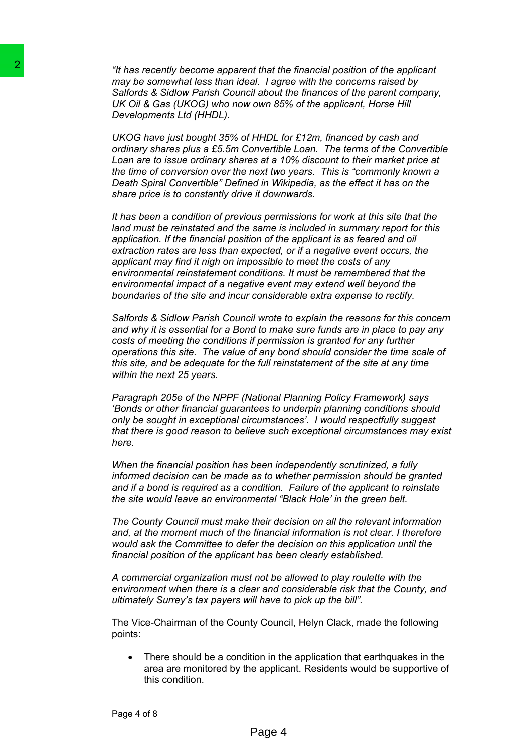*"It has recently become apparent that the financial position of the applicant may be somewhat less than ideal. I agree with the concerns raised by Salfords & Sidlow Parish Council about the finances of the parent company, UK Oil & Gas (UKOG) who now own 85% of the applicant, Horse Hill Developments Ltd (HHDL).*

*UKOG have just bought 35% of HHDL for £12m, financed by cash and ordinary shares plus a £5.5m Convertible Loan. The terms of the Convertible Loan are to issue ordinary shares at a 10% discount to their market price at the time of conversion over the next two years. This is "commonly known a Death Spiral Convertible" Defined in Wikipedia, as the effect it has on the share price is to constantly drive it downwards.* 

*It has been a condition of previous permissions for work at this site that the land must be reinstated and the same is included in summary report for this application. If the financial position of the applicant is as feared and oil extraction rates are less than expected, or if a negative event occurs, the applicant may find it nigh on impossible to meet the costs of any environmental reinstatement conditions. It must be remembered that the environmental impact of a negative event may extend well beyond the boundaries of the site and incur considerable extra expense to rectify.* 24<br>
This recently becomes appear that that that the time that that<br>
may be somewhat less than ideal. I ago<br>
Saffords & Saflow Parski Council about<br>
DeV Oil & Gas (UKOG) who now own 55<br>
DKOG have just bought 35% of HHDL<br>
U

*Salfords & Sidlow Parish Council wrote to explain the reasons for this concern and why it is essential for a Bond to make sure funds are in place to pay any costs of meeting the conditions if permission is granted for any further operations this site. The value of any bond should consider the time scale of this site, and be adequate for the full reinstatement of the site at any time within the next 25 years.*

*Paragraph 205e of the NPPF (National Planning Policy Framework) says 'Bonds or other financial guarantees to underpin planning conditions should only be sought in exceptional circumstances'. I would respectfully suggest that there is good reason to believe such exceptional circumstances may exist here.*

*When the financial position has been independently scrutinized, a fully informed decision can be made as to whether permission should be granted and if a bond is required as a condition. Failure of the applicant to reinstate the site would leave an environmental "Black Hole' in the green belt.*

*The County Council must make their decision on all the relevant information and, at the moment much of the financial information is not clear. I therefore would ask the Committee to defer the decision on this application until the financial position of the applicant has been clearly established.*

*A commercial organization must not be allowed to play roulette with the environment when there is a clear and considerable risk that the County, and ultimately Surrey's tax payers will have to pick up the bill".* 

The Vice-Chairman of the County Council, Helyn Clack, made the following points:

• There should be a condition in the application that earthquakes in the area are monitored by the applicant. Residents would be supportive of this condition.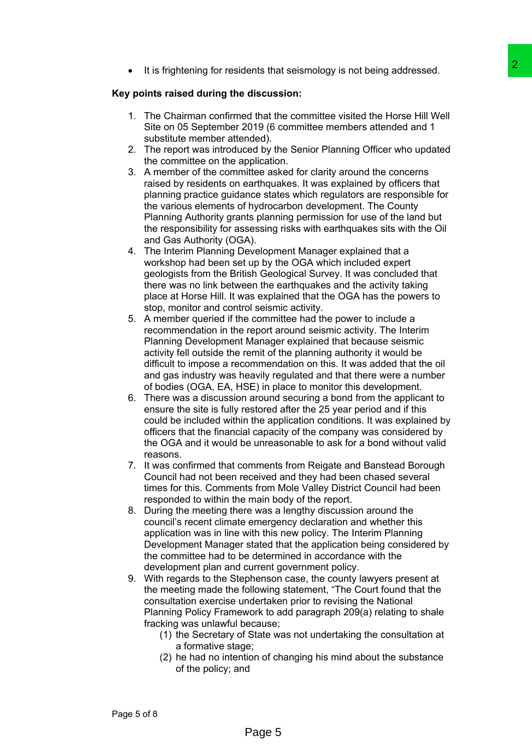• It is frightening for residents that seismology is not being addressed.

### **Key points raised during the discussion:**

- 1. The Chairman confirmed that the committee visited the Horse Hill Well Site on 05 September 2019 (6 committee members attended and 1 substitute member attended).
- 2. The report was introduced by the Senior Planning Officer who updated the committee on the application.
- 3. A member of the committee asked for clarity around the concerns raised by residents on earthquakes. It was explained by officers that planning practice guidance states which regulators are responsible for the various elements of hydrocarbon development. The County Planning Authority grants planning permission for use of the land but the responsibility for assessing risks with earthquakes sits with the Oil and Gas Authority (OGA). lents that seismology is not being addressed.<br>
discussion:<br>
discussion:<br>
discussion:<br>
discussion:<br>
discussion:<br>
discussion:<br>
discussion:<br>
2019 (6 committee wished the Horse Hill Well<br>
2019 (6 committee members attended and
- 4. The Interim Planning Development Manager explained that a workshop had been set up by the OGA which included expert geologists from the British Geological Survey. It was concluded that there was no link between the earthquakes and the activity taking place at Horse Hill. It was explained that the OGA has the powers to stop, monitor and control seismic activity.
- 5. A member queried if the committee had the power to include a recommendation in the report around seismic activity. The Interim Planning Development Manager explained that because seismic activity fell outside the remit of the planning authority it would be difficult to impose a recommendation on this. It was added that the oil and gas industry was heavily regulated and that there were a number of bodies (OGA, EA, HSE) in place to monitor this development.
- 6. There was a discussion around securing a bond from the applicant to ensure the site is fully restored after the 25 year period and if this could be included within the application conditions. It was explained by officers that the financial capacity of the company was considered by the OGA and it would be unreasonable to ask for a bond without valid reasons.
- 7. It was confirmed that comments from Reigate and Banstead Borough Council had not been received and they had been chased several times for this. Comments from Mole Valley District Council had been responded to within the main body of the report.
- 8. During the meeting there was a lengthy discussion around the council's recent climate emergency declaration and whether this application was in line with this new policy. The Interim Planning Development Manager stated that the application being considered by the committee had to be determined in accordance with the development plan and current government policy.
- 9. With regards to the Stephenson case, the county lawyers present at the meeting made the following statement, "The Court found that the consultation exercise undertaken prior to revising the National Planning Policy Framework to add paragraph 209(a) relating to shale fracking was unlawful because;
	- (1) the Secretary of State was not undertaking the consultation at a formative stage;
	- (2) he had no intention of changing his mind about the substance of the policy; and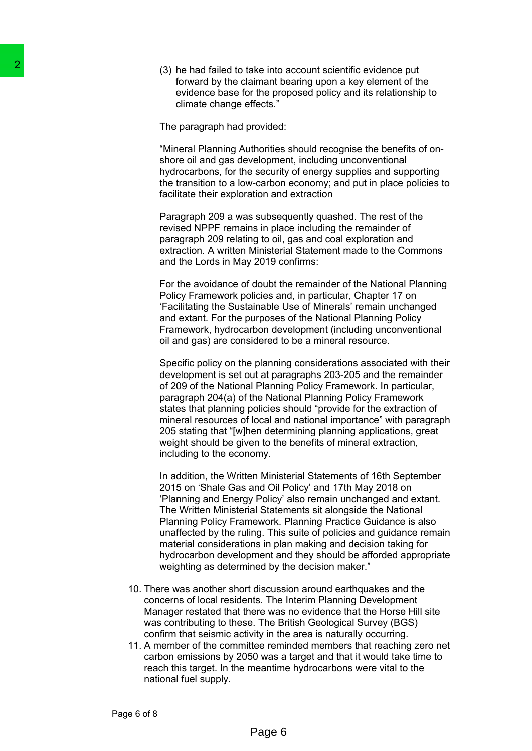(3) he had failed to take into account scientific evidence put forward by the claimant bearing upon a key element of the evidence base for the proposed policy and its relationship to climate change effects."

The paragraph had provided:

"Mineral Planning Authorities should recognise the benefits of onshore oil and gas development, including unconventional hydrocarbons, for the security of energy supplies and supporting the transition to a low-carbon economy; and put in place policies to facilitate their exploration and extraction

Paragraph 209 a was subsequently quashed. The rest of the revised NPPF remains in place including the remainder of paragraph 209 relating to oil, gas and coal exploration and extraction. A written Ministerial Statement made to the Commons and the Lords in May 2019 confirms:

For the avoidance of doubt the remainder of the National Planning Policy Framework policies and, in particular, Chapter 17 on 'Facilitating the Sustainable Use of Minerals' remain unchanged and extant. For the purposes of the National Planning Policy Framework, hydrocarbon development (including unconventional oil and gas) are considered to be a mineral resource.

Specific policy on the planning considerations associated with their development is set out at paragraphs 203-205 and the remainder of 209 of the National Planning Policy Framework. In particular, paragraph 204(a) of the National Planning Policy Framework states that planning policies should "provide for the extraction of mineral resources of local and national importance" with paragraph 205 stating that "[w]hen determining planning applications, great weight should be given to the benefits of mineral extraction, including to the economy.

In addition, the Written Ministerial Statements of 16th September 2015 on 'Shale Gas and Oil Policy' and 17th May 2018 on 'Planning and Energy Policy' also remain unchanged and extant. The Written Ministerial Statements sit alongside the National Planning Policy Framework. Planning Practice Guidance is also unaffected by the ruling. This suite of policies and guidance remain material considerations in plan making and decision taking for hydrocarbon development and they should be afforded appropriate weighting as determined by the decision maker." (3) he had failed to take into<br>
forward by the claiment b<br>
forward by the claiment b<br>
evidence base for the pro-<br>
climate change effects."<br>
The paragraph had provided:<br>
"Mineral Planning Authorities<br>
shore oil and gas deve

- 10. There was another short discussion around earthquakes and the concerns of local residents. The Interim Planning Development Manager restated that there was no evidence that the Horse Hill site was contributing to these. The British Geological Survey (BGS) confirm that seismic activity in the area is naturally occurring.
- 11. A member of the committee reminded members that reaching zero net carbon emissions by 2050 was a target and that it would take time to reach this target. In the meantime hydrocarbons were vital to the national fuel supply.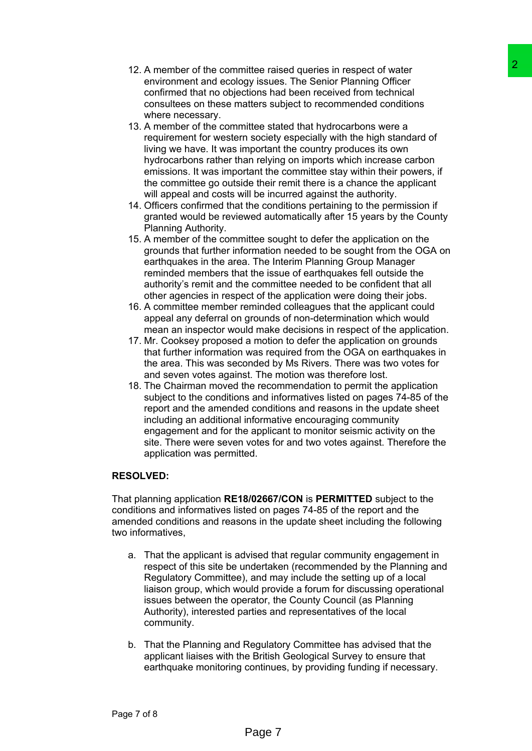- 
- 12. A member of the committee raised queries in respect of water environment and ecology issues. The Senior Planning Officer confirmed that no objections had been received from technical consultees on these matters subject to recommended conditions where necessary.
- 13. A member of the committee stated that hydrocarbons were a requirement for western society especially with the high standard of living we have. It was important the country produces its own hydrocarbons rather than relying on imports which increase carbon emissions. It was important the committee stay within their powers, if the committee go outside their remit there is a chance the applicant will appeal and costs will be incurred against the authority.
- 14. Officers confirmed that the conditions pertaining to the permission if granted would be reviewed automatically after 15 years by the County Planning Authority.
- 15. A member of the committee sought to defer the application on the grounds that further information needed to be sought from the OGA on earthquakes in the area. The Interim Planning Group Manager reminded members that the issue of earthquakes fell outside the authority's remit and the committee needed to be confident that all other agencies in respect of the application were doing their jobs.
- 16. A committee member reminded colleagues that the applicant could appeal any deferral on grounds of non-determination which would mean an inspector would make decisions in respect of the application.
- 17. Mr. Cooksey proposed a motion to defer the application on grounds that further information was required from the OGA on earthquakes in the area. This was seconded by Ms Rivers. There was two votes for and seven votes against. The motion was therefore lost.
- 18. The Chairman moved the recommendation to permit the application subject to the conditions and informatives listed on pages 74-85 of the report and the amended conditions and reasons in the update sheet including an additional informative encouraging community engagement and for the applicant to monitor seismic activity on the site. There were seven votes for and two votes against. Therefore the application was permitted. ifte related queries in respect of water<br>user significanties and the propertic of water<br>through the Berliot Planning Officer<br>gives any issues. The Senior Planning Officer<br>discns had been received from technical<br>itites atla

# **RESOLVED:**

That planning application **RE18/02667/CON** is **PERMITTED** subject to the conditions and informatives listed on pages 74-85 of the report and the amended conditions and reasons in the update sheet including the following two informatives,

- a. That the applicant is advised that regular community engagement in respect of this site be undertaken (recommended by the Planning and Regulatory Committee), and may include the setting up of a local liaison group, which would provide a forum for discussing operational issues between the operator, the County Council (as Planning Authority), interested parties and representatives of the local community.
- b. That the Planning and Regulatory Committee has advised that the applicant liaises with the British Geological Survey to ensure that earthquake monitoring continues, by providing funding if necessary.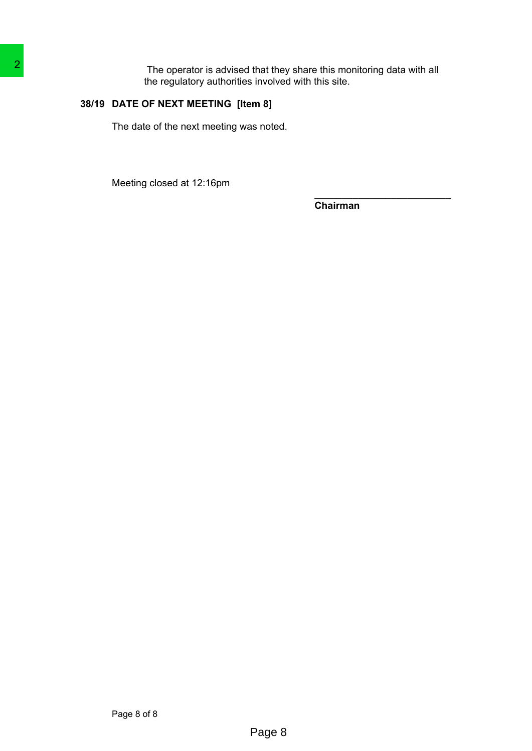The operator is advised that they share this monitoring data with all the regulatory authorities involved with this site. The operator is advised that the<br>the regulatory authorities involved<br>38/19 DATE OF NEXT MEETING [Item 8]<br>The date of the next meeting was noted.<br>Meeting closed at 12:16pm<br>Page 8 of 8

# **38/19 DATE OF NEXT MEETING [Item 8]**

The date of the next meeting was noted.

Meeting closed at 12:16pm

**Chairman**

**\_\_\_\_\_\_\_\_\_\_\_\_\_\_\_\_\_\_\_\_\_\_\_\_\_**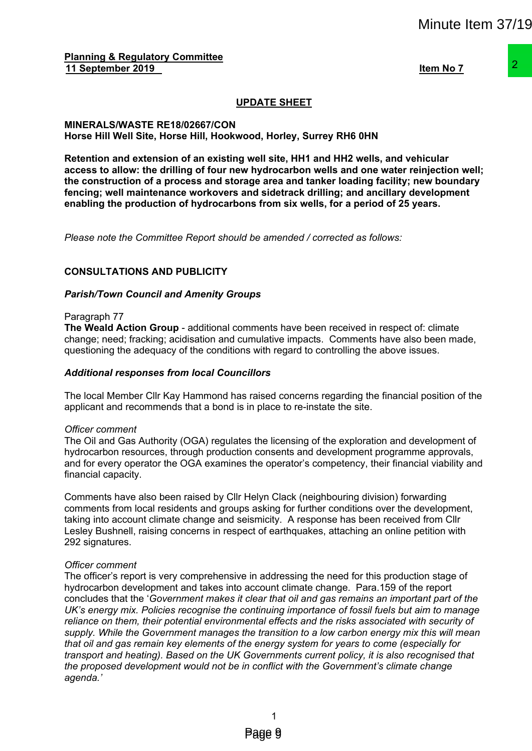**Planning & Regulatory Committee 11 September 2019 Item No 7**

# **UPDATE SHEET**

#### **MINERALS/WASTE RE18/02667/CON Horse Hill Well Site, Horse Hill, Hookwood, Horley, Surrey RH6 0HN**

**Retention and extension of an existing well site, HH1 and HH2 wells, and vehicular access to allow: the drilling of four new hydrocarbon wells and one water reinjection well; the construction of a process and storage area and tanker loading facility; new boundary fencing; well maintenance workovers and sidetrack drilling; and ancillary development enabling the production of hydrocarbons from six wells, for a period of 25 years.**

*Please note the Committee Report should be amended / corrected as follows:*

### **CONSULTATIONS AND PUBLICITY**

#### *Parish/Town Council and Amenity Groups*

#### Paragraph 77

**The Weald Action Group** - additional comments have been received in respect of: climate change; need; fracking; acidisation and cumulative impacts. Comments have also been made, questioning the adequacy of the conditions with regard to controlling the above issues.

#### *Additional responses from local Councillors*

The local Member Cllr Kay Hammond has raised concerns regarding the financial position of the applicant and recommends that a bond is in place to re-instate the site.

#### *Officer comment*

The Oil and Gas Authority (OGA) regulates the licensing of the exploration and development of hydrocarbon resources, through production consents and development programme approvals, and for every operator the OGA examines the operator's competency, their financial viability and financial capacity.

Comments have also been raised by Cllr Helyn Clack (neighbouring division) forwarding comments from local residents and groups asking for further conditions over the development, taking into account climate change and seismicity. A response has been received from Cllr Lesley Bushnell, raising concerns in respect of earthquakes, attaching an online petition with 292 signatures.

#### *Officer comment*

The officer's report is very comprehensive in addressing the need for this production stage of hydrocarbon development and takes into account climate change. Para.159 of the report concludes that the '*Government makes it clear that oil and gas remains an important part of the UK's energy mix. Policies recognise the continuing importance of fossil fuels but aim to manage reliance on them, their potential environmental effects and the risks associated with security of supply. While the Government manages the transition to a low carbon energy mix this will mean that oil and gas remain key elements of the energy system for years to come (especially for transport and heating). Based on the UK Governments current policy, it is also recognised that the proposed development would not be in conflict with the Government's climate change agenda.'* Minute Item 37/19<br>
<u>Hem No 7</u><br>
<u>Hem No 7</u><br> **Example 12**<br> **Example 12**<br> **Example 12**<br> **Example 12**<br> **Example 12**<br> **Example 12**<br> **Example 12**<br> **Example 12**<br> **Example 12**<br> **Example 12**<br> **Example 12**<br> **Example 12**<br> **Example 12**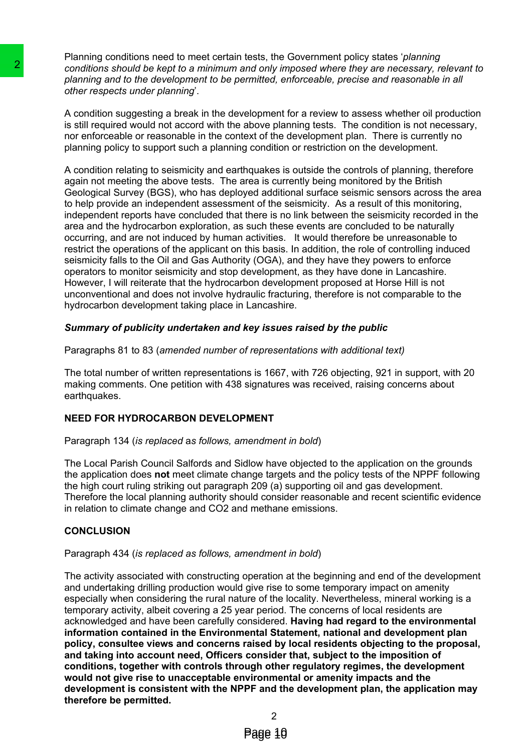Planning conditions need to meet certain tests, the Government policy states '*planning conditions should be kept to a minimum and only imposed where they are necessary, relevant to planning and to the development to be permitted, enforceable, precise and reasonable in all other respects under planning*'.

A condition suggesting a break in the development for a review to assess whether oil production is still required would not accord with the above planning tests. The condition is not necessary, nor enforceable or reasonable in the context of the development plan. There is currently no planning policy to support such a planning condition or restriction on the development.

A condition relating to seismicity and earthquakes is outside the controls of planning, therefore again not meeting the above tests. The area is currently being monitored by the British Geological Survey (BGS), who has deployed additional surface seismic sensors across the area to help provide an independent assessment of the seismicity. As a result of this monitoring, independent reports have concluded that there is no link between the seismicity recorded in the area and the hydrocarbon exploration, as such these events are concluded to be naturally occurring, and are not induced by human activities. It would therefore be unreasonable to restrict the operations of the applicant on this basis. In addition, the role of controlling induced seismicity falls to the Oil and Gas Authority (OGA), and they have they powers to enforce operators to monitor seismicity and stop development, as they have done in Lancashire. However, I will reiterate that the hydrocarbon development proposed at Horse Hill is not unconventional and does not involve hydraulic fracturing, therefore is not comparable to the hydrocarbon development taking place in Lancashire. **2**<br>conditions should be keed to a milimum and only in<br>planning and to the detecto a milimum and only in<br>planning and to the detector and its determent to the permitted.<br>A condition suggesting a break in the development<br>is

### *Summary of publicity undertaken and key issues raised by the public*

Paragraphs 81 to 83 (*amended number of representations with additional text)*

The total number of written representations is 1667, with 726 objecting, 921 in support, with 20 making comments. One petition with 438 signatures was received, raising concerns about earthquakes.

### **NEED FOR HYDROCARBON DEVELOPMENT**

#### Paragraph 134 (*is replaced* a*s follows, amendment in bold*)

The Local Parish Council Salfords and Sidlow have objected to the application on the grounds the application does **not** meet climate change targets and the policy tests of the NPPF following the high court ruling striking out paragraph 209 (a) supporting oil and gas development. Therefore the local planning authority should consider reasonable and recent scientific evidence in relation to climate change and CO2 and methane emissions.

### **CONCLUSION**

### Paragraph 434 (*is replaced as follows, amendment in bold*)

The activity associated with constructing operation at the beginning and end of the development and undertaking drilling production would give rise to some temporary impact on amenity especially when considering the rural nature of the locality. Nevertheless, mineral working is a temporary activity, albeit covering a 25 year period. The concerns of local residents are acknowledged and have been carefully considered. **Having had regard to the environmental information contained in the Environmental Statement, national and development plan policy, consultee views and concerns raised by local residents objecting to the proposal, and taking into account need, Officers consider that, subject to the imposition of conditions, together with controls through other regulatory regimes, the development would not give rise to unacceptable environmental or amenity impacts and the development is consistent with the NPPF and the development plan, the application may therefore be permitted.**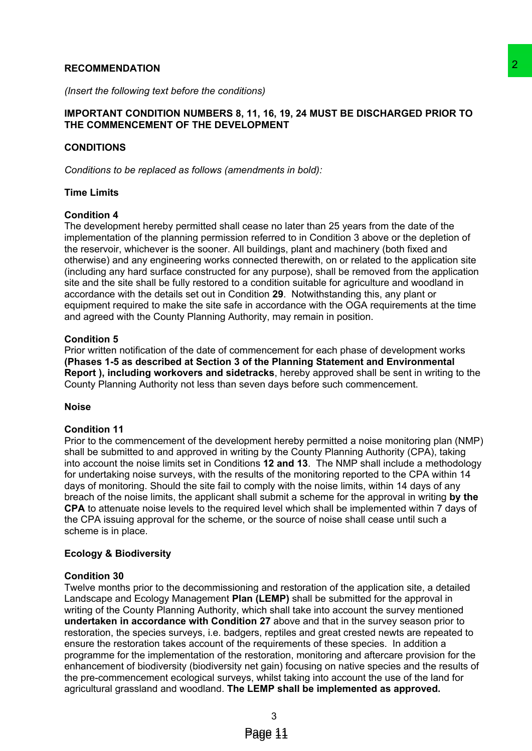#### **RECOMMENDATION**

*(Insert the following text before the conditions)*

### **IMPORTANT CONDITION NUMBERS 8, 11, 16, 19, 24 MUST BE DISCHARGED PRIOR TO THE COMMENCEMENT OF THE DEVELOPMENT**

### **CONDITIONS**

*Conditions to be replaced as follows (amendments in bold):*

#### **Time Limits**

#### **Condition 4**

The development hereby permitted shall cease no later than 25 years from the date of the implementation of the planning permission referred to in Condition 3 above or the depletion of the reservoir, whichever is the sooner. All buildings, plant and machinery (both fixed and otherwise) and any engineering works connected therewith, on or related to the application site (including any hard surface constructed for any purpose), shall be removed from the application site and the site shall be fully restored to a condition suitable for agriculture and woodland in accordance with the details set out in Condition **29**. Notwithstanding this, any plant or equipment required to make the site safe in accordance with the OGA requirements at the time and agreed with the County Planning Authority, may remain in position.

#### **Condition 5**

Prior written notification of the date of commencement for each phase of development works **(Phases 1-5 as described at Section 3 of the Planning Statement and Environmental Report ), including workovers and sidetracks**, hereby approved shall be sent in writing to the County Planning Authority not less than seven days before such commencement.

#### **Noise**

#### **Condition 11**

Prior to the commencement of the development hereby permitted a noise monitoring plan (NMP) shall be submitted to and approved in writing by the County Planning Authority (CPA), taking into account the noise limits set in Conditions **12 and 13**. The NMP shall include a methodology for undertaking noise surveys, with the results of the monitoring reported to the CPA within 14 days of monitoring. Should the site fail to comply with the noise limits, within 14 days of any breach of the noise limits, the applicant shall submit a scheme for the approval in writing **by the CPA** to attenuate noise levels to the required level which shall be implemented within 7 days of the CPA issuing approval for the scheme, or the source of noise shall cease until such a scheme is in place.

#### **Ecology & Biodiversity**

#### **Condition 30**

Twelve months prior to the decommissioning and restoration of the application site, a detailed Landscape and Ecology Management **Plan (LEMP)** shall be submitted for the approval in writing of the County Planning Authority, which shall take into account the survey mentioned **undertaken in accordance with Condition 27** above and that in the survey season prior to restoration, the species surveys, i.e. badgers, reptiles and great crested newts are repeated to ensure the restoration takes account of the requirements of these species. In addition a programme for the implementation of the restoration, monitoring and aftercare provision for the enhancement of biodiversity (biodiversity net gain) focusing on native species and the results of the pre-commencement ecological surveys, whilst taking into account the use of the land for agricultural grassland and woodland. **The LEMP shall be implemented as approved.** ions)<br>
11, 16, 19, 24 MUST BE DISCHARGED PRIOR TO<br>
20 OPMENT<br>
20 OPMENT<br>
20 OPMENT<br>
20 OPMENT<br>
20 OPMENT<br>
20 OPMENT and machine proton the date of the<br>
11 of the constrained to income the constrained to the application<br>
2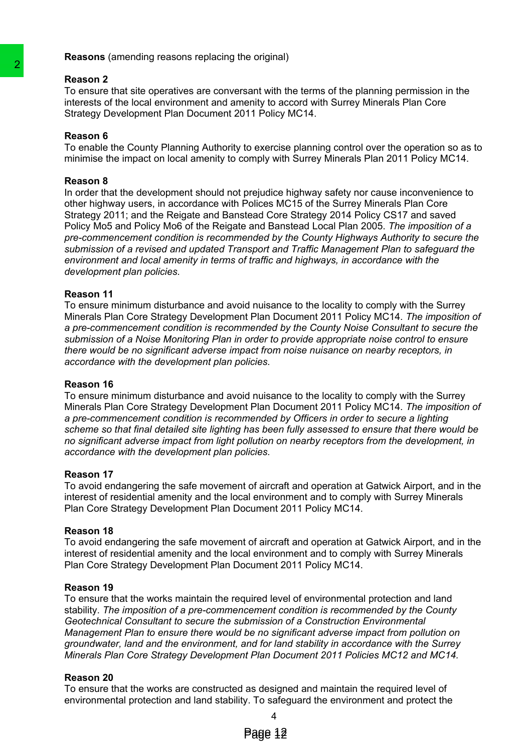**Reasons** (amending reasons replacing the original)

#### **Reason 2**

To ensure that site operatives are conversant with the terms of the planning permission in the interests of the local environment and amenity to accord with Surrey Minerals Plan Core Strategy Development Plan Document 2011 Policy MC14.

### **Reason 6**

To enable the County Planning Authority to exercise planning control over the operation so as to minimise the impact on local amenity to comply with Surrey Minerals Plan 2011 Policy MC14.

### **Reason 8**

In order that the development should not prejudice highway safety nor cause inconvenience to other highway users, in accordance with Polices MC15 of the Surrey Minerals Plan Core Strategy 2011; and the Reigate and Banstead Core Strategy 2014 Policy CS17 and saved Policy Mo5 and Policy Mo6 of the Reigate and Banstead Local Plan 2005. *The imposition of a pre-commencement condition is recommended by the County Highways Authority to secure the submission of a revised and updated Transport and Traffic Management Plan to safeguard the environment and local amenity in terms of traffic and highways, in accordance with the development plan policies.* **Passion 2**<br>
To ensure that site operatives are conversant with To ensure that site operatives are conversant with the<br>
Interests of the local environment and amently to accompany interests of the local environment and ame

### **Reason 11**

To ensure minimum disturbance and avoid nuisance to the locality to comply with the Surrey Minerals Plan Core Strategy Development Plan Document 2011 Policy MC14. *The imposition of a pre-commencement condition is recommended by the County Noise Consultant to secure the submission of a Noise Monitoring Plan in order to provide appropriate noise control to ensure there would be no significant adverse impact from noise nuisance on nearby receptors, in accordance with the development plan policies.*

### **Reason 16**

To ensure minimum disturbance and avoid nuisance to the locality to comply with the Surrey Minerals Plan Core Strategy Development Plan Document 2011 Policy MC14. *The imposition of a pre-commencement condition is recommended by Officers in order to secure a lighting scheme so that final detailed site lighting has been fully assessed to ensure that there would be no significant adverse impact from light pollution on nearby receptors from the development, in accordance with the development plan policies.*

### **Reason 17**

To avoid endangering the safe movement of aircraft and operation at Gatwick Airport, and in the interest of residential amenity and the local environment and to comply with Surrey Minerals Plan Core Strategy Development Plan Document 2011 Policy MC14.

### **Reason 18**

To avoid endangering the safe movement of aircraft and operation at Gatwick Airport, and in the interest of residential amenity and the local environment and to comply with Surrey Minerals Plan Core Strategy Development Plan Document 2011 Policy MC14.

### **Reason 19**

To ensure that the works maintain the required level of environmental protection and land stability. *The imposition of a pre-commencement condition is recommended by the County Geotechnical Consultant to secure the submission of a Construction Environmental Management Plan to ensure there would be no significant adverse impact from pollution on groundwater, land and the environment, and for land stability in accordance with the Surrey Minerals Plan Core Strategy Development Plan Document 2011 Policies MC12 and MC14.*

### **Reason 20**

To ensure that the works are constructed as designed and maintain the required level of environmental protection and land stability. To safeguard the environment and protect the

4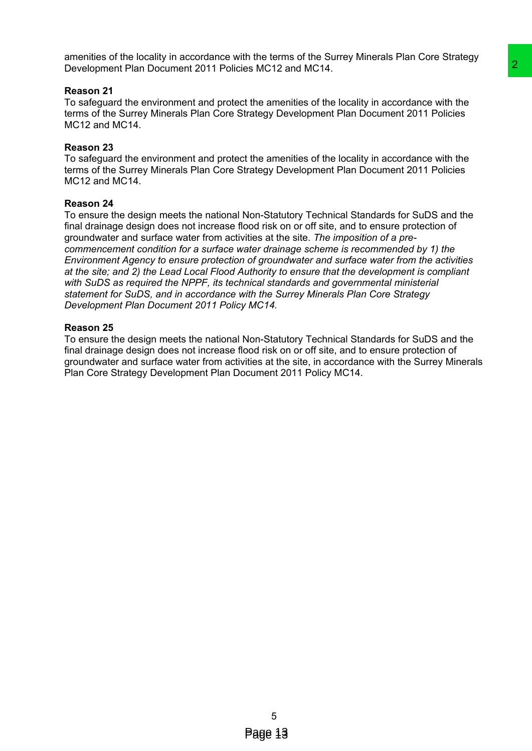amenities of the locality in accordance with the terms of the Surrey Minerals Plan Core Strategy Development Plan Document 2011 Policies MC12 and MC14.

### **Reason 21**

To safeguard the environment and protect the amenities of the locality in accordance with the terms of the Surrey Minerals Plan Core Strategy Development Plan Document 2011 Policies MC12 and MC14.

### **Reason 23**

To safeguard the environment and protect the amenities of the locality in accordance with the terms of the Surrey Minerals Plan Core Strategy Development Plan Document 2011 Policies MC12 and MC14.

### **Reason 24**

To ensure the design meets the national Non-Statutory Technical Standards for SuDS and the final drainage design does not increase flood risk on or off site, and to ensure protection of groundwater and surface water from activities at the site. *The imposition of a precommencement condition for a surface water drainage scheme is recommended by 1) the Environment Agency to ensure protection of groundwater and surface water from the activities at the site; and 2) the Lead Local Flood Authority to ensure that the development is compliant with SuDS as required the NPPF, its technical standards and governmental ministerial statement for SuDS, and in accordance with the Surrey Minerals Plan Core Strategy Development Plan Document 2011 Policy MC14.* Es MC12 and MC14.<br>
The amentities of the locality in accordance with the<br>
the amentities of the locality in accordance with the<br>
the amentities of the locality in accordance with the<br>
the amentities of the locality in acco

### **Reason 25**

To ensure the design meets the national Non-Statutory Technical Standards for SuDS and the final drainage design does not increase flood risk on or off site, and to ensure protection of groundwater and surface water from activities at the site, in accordance with the Surrey Minerals Plan Core Strategy Development Plan Document 2011 Policy MC14.